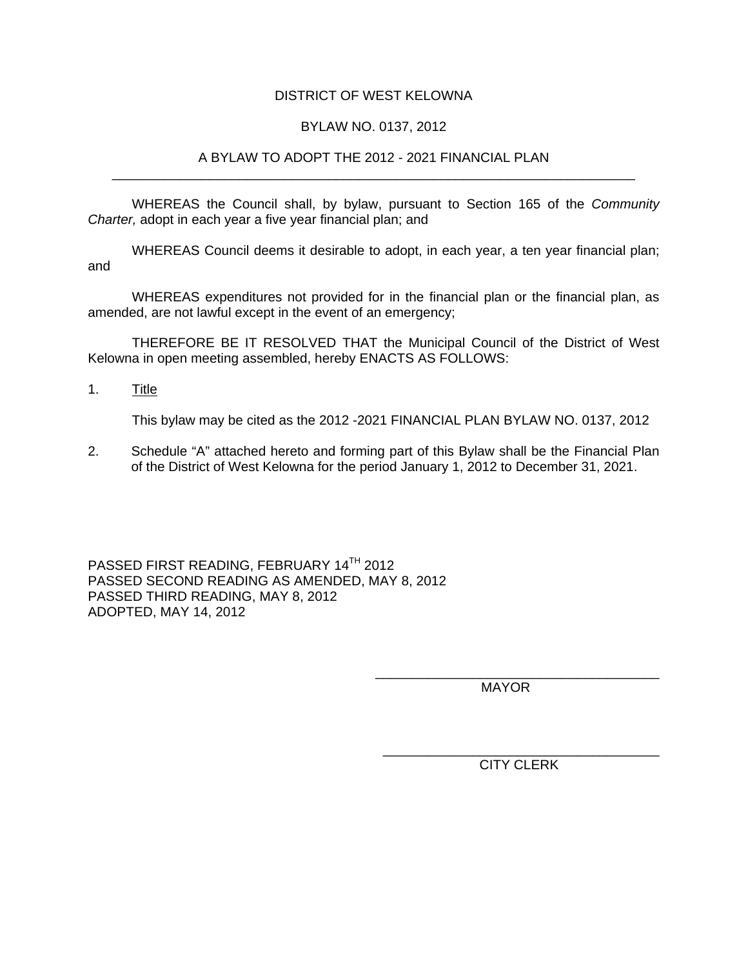## DISTRICT OF WEST KELOWNA

## BYLAW NO. 0137, 2012

### A BYLAW TO ADOPT THE 2012 - 2021 FINANCIAL PLAN \_\_\_\_\_\_\_\_\_\_\_\_\_\_\_\_\_\_\_\_\_\_\_\_\_\_\_\_\_\_\_\_\_\_\_\_\_\_\_\_\_\_\_\_\_\_\_\_\_\_\_\_\_\_\_\_\_\_\_\_\_\_\_\_\_\_\_\_\_\_

WHEREAS the Council shall, by bylaw, pursuant to Section 165 of the *Community Charter,* adopt in each year a five year financial plan; and

WHEREAS Council deems it desirable to adopt, in each year, a ten year financial plan; and

WHEREAS expenditures not provided for in the financial plan or the financial plan, as amended, are not lawful except in the event of an emergency;

 THEREFORE BE IT RESOLVED THAT the Municipal Council of the District of West Kelowna in open meeting assembled, hereby ENACTS AS FOLLOWS:

1. Title

This bylaw may be cited as the 2012 -2021 FINANCIAL PLAN BYLAW NO. 0137, 2012

2. Schedule "A" attached hereto and forming part of this Bylaw shall be the Financial Plan of the District of West Kelowna for the period January 1, 2012 to December 31, 2021.

PASSED FIRST READING, FEBRUARY 14TH 2012 PASSED SECOND READING AS AMENDED, MAY 8, 2012 PASSED THIRD READING, MAY 8, 2012 ADOPTED, MAY 14, 2012

> \_\_\_\_\_\_\_\_\_\_\_\_\_\_\_\_\_\_\_\_\_\_\_\_\_\_\_\_\_\_\_\_\_\_\_\_\_\_ MAYOR

\_\_\_\_\_\_\_\_\_\_\_\_\_\_\_\_\_\_\_\_\_\_\_\_\_\_\_\_\_\_\_\_\_\_\_\_\_ CITY CLERK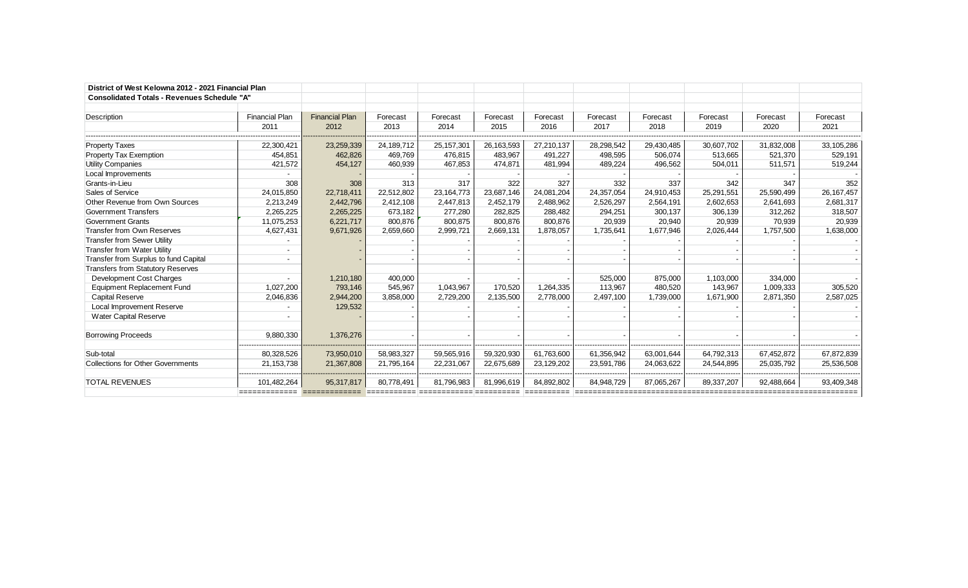| District of West Kelowna 2012 - 2021 Financial Plan |                       |                       |            |              |            |            |            |            |            |            |              |
|-----------------------------------------------------|-----------------------|-----------------------|------------|--------------|------------|------------|------------|------------|------------|------------|--------------|
| <b>Consolidated Totals - Revenues Schedule "A"</b>  |                       |                       |            |              |            |            |            |            |            |            |              |
|                                                     |                       |                       |            |              |            |            |            |            |            |            |              |
| Description                                         | <b>Financial Plan</b> | <b>Financial Plan</b> | Forecast   | Forecast     | Forecast   | Forecast   | Forecast   | Forecast   | Forecast   | Forecast   | Forecast     |
|                                                     | 2011                  | 2012                  | 2013       | 2014         | 2015       | 2016       | 2017       | 2018       | 2019       | 2020       | 2021         |
|                                                     |                       |                       |            |              |            |            |            |            |            |            |              |
| <b>Property Taxes</b>                               | 22,300,421            | 23,259,339            | 24,189,712 | 25, 157, 301 | 26,163,593 | 27,210,137 | 28,298,542 | 29,430,485 | 30,607,702 | 31,832,008 | 33,105,286   |
| <b>Property Tax Exemption</b>                       | 454,851               | 462,826               | 469,769    | 476,815      | 483,967    | 491,227    | 498,595    | 506,074    | 513,665    | 521,370    | 529,191      |
| <b>Utility Companies</b>                            | 421,572               | 454,127               | 460,939    | 467,853      | 474,871    | 481,994    | 489,224    | 496,562    | 504,011    | 511,571    | 519,244      |
| Local Improvements                                  |                       |                       |            |              |            |            |            |            |            |            |              |
| Grants-in-Lieu                                      | 308                   | 308                   | 313        | 317          | 322        | 327        | 332        | 337        | 342        | 347        | 352          |
| Sales of Service                                    | 24,015,850            | 22,718,411            | 22,512,802 | 23,164,773   | 23,687,146 | 24,081,204 | 24,357,054 | 24,910,453 | 25,291,551 | 25,590,499 | 26, 167, 457 |
| Other Revenue from Own Sources                      | 2,213,249             | 2,442,796             | 2,412,108  | 2,447,813    | 2,452,179  | 2,488,962  | 2,526,297  | 2,564,191  | 2,602,653  | 2,641,693  | 2,681,317    |
| Government Transfers                                | 2,265,225             | 2,265,225             | 673,182    | 277,280      | 282,825    | 288,482    | 294,251    | 300,137    | 306,139    | 312,262    | 318,507      |
| <b>Government Grants</b>                            | 11,075,253            | 6,221,717             | 800,876    | 800,875      | 800,876    | 800.876    | 20,939     | 20,940     | 20,939     | 70,939     | 20,939       |
| Transfer from Own Reserves                          | 4,627,431             | 9,671,926             | 2,659,660  | 2,999,721    | 2,669,131  | 1,878,057  | 1,735,641  | 1,677,946  | 2,026,444  | 1,757,500  | 1,638,000    |
| <b>Transfer from Sewer Utility</b>                  |                       |                       |            |              |            |            |            |            |            |            |              |
| <b>Transfer from Water Utility</b>                  |                       |                       |            |              |            |            |            |            |            |            |              |
| Transfer from Surplus to fund Capital               |                       |                       |            |              |            |            |            |            |            |            |              |
| <b>Transfers from Statutory Reserves</b>            |                       |                       |            |              |            |            |            |            |            |            |              |
| Development Cost Charges                            |                       | 1,210,180             | 400,000    |              |            |            | 525,000    | 875,000    | 1,103,000  | 334,000    |              |
| <b>Equipment Replacement Fund</b>                   | 1,027,200             | 793,146               | 545,967    | 1,043,967    | 170,520    | 1,264,335  | 113,967    | 480,520    | 143,967    | 1,009,333  | 305,520      |
| <b>Capital Reserve</b>                              | 2,046,836             | 2,944,200             | 3,858,000  | 2,729,200    | 2,135,500  | 2,778,000  | 2,497,100  | 1,739,000  | 1.671.900  | 2,871,350  | 2,587,025    |
| Local Improvement Reserve                           |                       | 129,532               |            |              |            |            |            |            |            |            |              |
| <b>Water Capital Reserve</b>                        |                       |                       |            |              |            |            |            |            |            |            |              |
|                                                     |                       |                       |            |              |            |            |            |            |            |            |              |
| <b>Borrowing Proceeds</b>                           | 9,880,330             | 1,376,276             |            |              |            |            |            |            |            |            |              |
|                                                     |                       |                       |            |              |            |            |            |            |            |            |              |
| Sub-total                                           | 80,328,526            | 73,950,010            | 58,983,327 | 59,565,916   | 59,320,930 | 61,763,600 | 61,356,942 | 63,001,644 | 64,792,313 | 67,452,872 | 67,872,839   |
| <b>Collections for Other Governments</b>            | 21, 153, 738          | 21,367,808            | 21,795,164 | 22,231,067   | 22,675,689 | 23,129,202 | 23,591,786 | 24,063,622 | 24,544,895 | 25,035,792 | 25,536,508   |
|                                                     |                       |                       |            |              |            |            |            |            |            |            |              |
| <b>TOTAL REVENUES</b>                               | 101,482,264           | 95,317,817            | 80,778,491 | 81,796,983   | 81,996,619 | 84,892,802 | 84,948,729 | 87,065,267 | 89,337,207 | 92,488,664 | 93,409,348   |
|                                                     |                       |                       |            |              |            |            |            |            |            |            |              |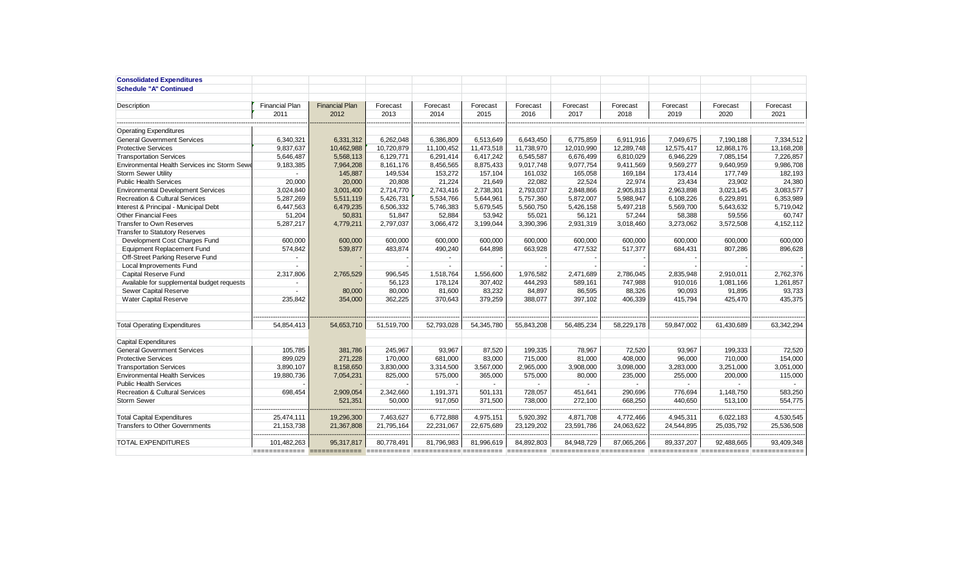| <b>Consolidated Expenditures</b>            |                               |                       |            |                          |            |            |                           |            |            |            |            |
|---------------------------------------------|-------------------------------|-----------------------|------------|--------------------------|------------|------------|---------------------------|------------|------------|------------|------------|
| <b>Schedule "A" Continued</b>               |                               |                       |            |                          |            |            |                           |            |            |            |            |
|                                             |                               |                       |            |                          |            |            |                           |            |            |            |            |
| Description                                 | <b>Financial Plan</b>         | <b>Financial Plan</b> | Forecast   | Forecast                 | Forecast   | Forecast   | Forecast                  | Forecast   | Forecast   | Forecast   | Forecast   |
|                                             | 2011                          | 2012                  | 2013       | 2014                     | 2015       | 2016       | 2017                      | 2018       | 2019       | 2020       | 2021       |
|                                             |                               |                       |            |                          |            |            |                           |            |            |            |            |
| <b>Operating Expenditures</b>               |                               |                       |            |                          |            |            |                           |            |            |            |            |
| <b>General Government Services</b>          | 6,340,321                     | 6,331,312             | 6,262,048  | 6,386,809                | 6,513,649  | 6,643,450  | 6,775,859                 | 6,911,916  | 7,049,675  | 7,190,188  | 7,334,512  |
| <b>Protective Services</b>                  | 9.837.637                     | 10.462.988            | 10.720.879 | 11,100,452               | 11.473.518 | 11.738.970 | 12.010.990                | 12.289.748 | 12.575.417 | 12.868.176 | 13,168,208 |
| <b>Transportation Services</b>              | 5,646,487                     | 5,568,113             | 6,129,771  | 6,291,414                | 6,417,242  | 6.545.587  | 6.676.499                 | 6.810.029  | 6,946,229  | 7,085,154  | 7.226.857  |
| Environmental Health Services inc Storm Sew | 9,183,385                     | 7,964,208             | 8,161,176  | 8,456,565                | 8,875,433  | 9,017,748  | 9,077,754                 | 9,411,569  | 9,569,277  | 9,640,959  | 9,986,708  |
| Storm Sewer Utility                         |                               | 145,887               | 149,534    | 153,272                  | 157.104    | 161,032    | 165,058                   | 169.184    | 173.414    | 177,749    | 182,193    |
| <b>Public Health Services</b>               | 20,000                        | 20,000                | 20,808     | 21,224                   | 21,649     | 22,082     | 22,524                    | 22,974     | 23,434     | 23,902     | 24,380     |
| <b>Environmental Development Services</b>   | 3,024,840                     | 3,001,400             | 2,714,770  | 2,743,416                | 2,738,301  | 2,793,037  | 2,848,866                 | 2,905,813  | 2,963,898  | 3,023,145  | 3,083,577  |
| Recreation & Cultural Services              | 5,287,269                     | 5,511,119             | 5,426,731  | 5,534,766                | 5,644,961  | 5,757,360  | 5,872,007                 | 5,988,947  | 6,108,226  | 6,229,891  | 6,353,989  |
| Interest & Principal - Municipal Debt       | 6,447,563                     | 6,479,235             | 6,506,332  | 5,746,383                | 5,679,545  | 5,560,750  | 5,426,158                 | 5,497,218  | 5,569,700  | 5,643,632  | 5,719,042  |
| Other Financial Fees                        | 51,204                        | 50,831                | 51,847     | 52,884                   | 53,942     | 55,021     | 56,121                    | 57,244     | 58,388     | 59,556     | 60,747     |
| Transfer to Own Reserves                    | 5,287,217                     | 4,779,211             | 2,797,037  | 3,066,472                | 3,199,044  | 3,390,396  | 2,931,319                 | 3,018,460  | 3,273,062  | 3,572,508  | 4,152,112  |
| <b>Transfer to Statutory Reserves</b>       |                               |                       |            |                          |            |            |                           |            |            |            |            |
| Development Cost Charges Fund               | 600.000                       | 600.000               | 600.000    | 600.000                  | 600.000    | 600.000    | 600.000                   | 600.000    | 600,000    | 600,000    | 600.000    |
| <b>Equipment Replacement Fund</b>           | 574,842                       | 539,877               | 483,874    | 490,240                  | 644.898    | 663.928    | 477,532                   | 517,377    | 684,431    | 807,286    | 896,628    |
| Off-Street Parking Reserve Fund             | $\blacksquare$                |                       |            | $\overline{\phantom{a}}$ |            |            |                           |            |            |            |            |
| Local Improvements Fund                     |                               |                       |            | $\sim$                   |            |            |                           |            |            |            |            |
| Capital Reserve Fund                        | 2,317,806                     | 2,765,529             | 996,545    | 1,518,764                | 1,556,600  | 1,976,582  | 2,471,689                 | 2,786,045  | 2,835,948  | 2,910,011  | 2,762,376  |
| Available for supplemental budget requests  |                               |                       | 56,123     | 178,124                  | 307,402    | 444,293    | 589,161                   | 747,988    | 910,016    | 1,081,166  | 1,261,857  |
| Sewer Capital Reserve                       |                               | 80,000                | 80,000     | 81,600                   | 83,232     | 84,897     | 86,595                    | 88,326     | 90,093     | 91,895     | 93,733     |
| <b>Water Capital Reserve</b>                | 235.842                       | 354,000               | 362.225    | 370.643                  | 379.259    | 388.077    | 397.102                   | 406.339    | 415.794    | 425,470    | 435.375    |
|                                             |                               |                       |            |                          |            |            |                           |            |            |            |            |
|                                             |                               |                       |            |                          |            |            |                           |            |            |            |            |
| <b>Total Operating Expenditures</b>         | 54,854,413                    | 54,653,710            | 51,519,700 | 52,793,028               | 54,345,780 | 55,843,208 | 56,485,234                | 58,229,178 | 59,847,002 | 61,430,689 | 63.342.294 |
|                                             |                               |                       |            |                          |            |            |                           |            |            |            |            |
| <b>Capital Expenditures</b>                 |                               |                       |            |                          |            |            |                           |            |            |            |            |
| <b>General Government Services</b>          | 105,785                       | 381,786               | 245,967    | 93.967                   | 87.520     | 199,335    | 78,967                    | 72,520     | 93.967     | 199,333    | 72,520     |
| <b>Protective Services</b>                  | 899,029                       | 271,228               | 170,000    | 681,000                  | 83,000     | 715,000    | 81,000                    | 408,000    | 96,000     | 710,000    | 154,000    |
| <b>Transportation Services</b>              | 3,890,107                     | 8,158,650             | 3,830,000  | 3,314,500                | 3,567,000  | 2,965,000  | 3,908,000                 | 3,098,000  | 3,283,000  | 3,251,000  | 3,051,000  |
| <b>Environmental Health Services</b>        | 19.880.736                    | 7,054,231             | 825,000    | 575,000                  | 365.000    | 575.000    | 80.000                    | 235.000    | 255.000    | 200,000    | 115,000    |
| <b>Public Health Services</b>               |                               |                       |            |                          | $\sim$     |            | $\sim$                    | $\sim$     | $\sim$     | $\sim$     |            |
| <b>Recreation &amp; Cultural Services</b>   | 698.454                       | 2,909,054             | 2.342.660  | 1.191.371                | 501.131    | 728.057    | 451.641                   | 290.696    | 776.694    | 1,148,750  | 583,250    |
| <b>Storm Sewer</b>                          |                               | 521,351               | 50,000     | 917.050                  | 371,500    | 738,000    | 272,100                   | 668,250    | 440,650    | 513,100    | 554,775    |
|                                             |                               |                       |            |                          |            |            |                           |            |            |            |            |
| <b>Total Capital Expenditures</b>           | 25,474,111                    | 19,296,300            | 7,463,627  | 6,772,888                | 4,975,151  | 5,920,392  | 4,871,708                 | 4,772,466  | 4,945,311  | 6,022,183  | 4,530,545  |
| <b>Transfers to Other Governments</b>       | 21, 153, 738                  | 21,367,808            | 21,795,164 | 22,231,067               | 22,675,689 | 23,129,202 | 23,591,786                | 24,063,622 | 24,544,895 | 25,035,792 | 25,536,508 |
|                                             |                               |                       |            |                          |            |            |                           |            |            |            |            |
| <b>TOTAL EXPENDITURES</b>                   | 101,482,263                   | 95,317,817            | 80,778,491 | 81,796,983               | 81,996,619 | 84,892,803 | 84,948,729                | 87,065,266 | 89,337,207 | 92,488,665 | 93,409,348 |
|                                             | ============================= |                       |            |                          |            | ========== | ============ ============ |            |            |            |            |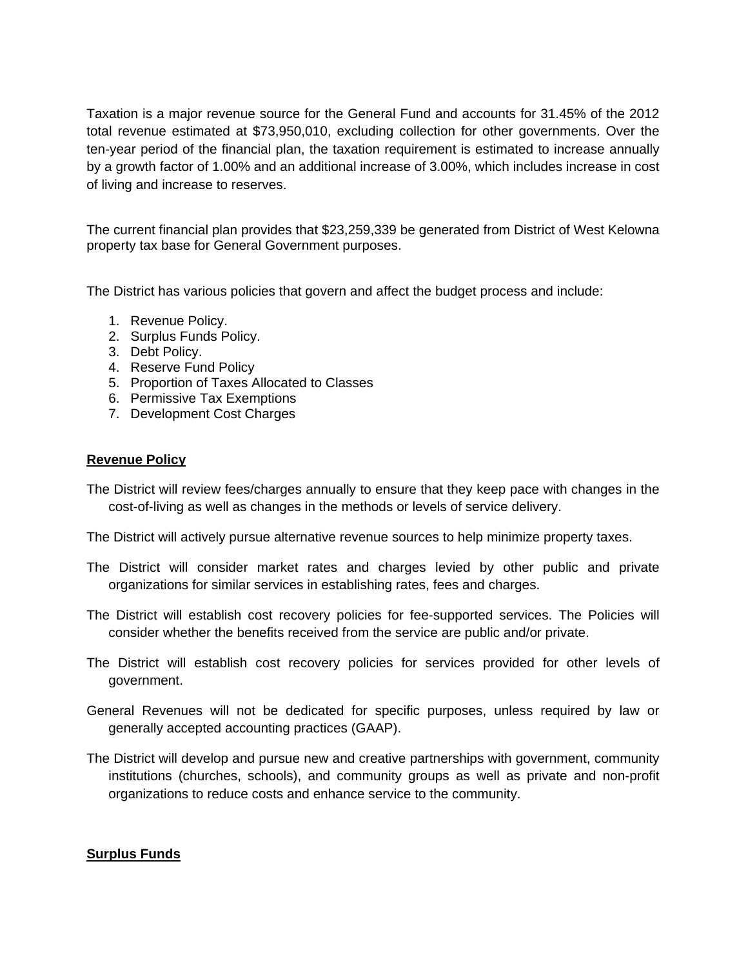Taxation is a major revenue source for the General Fund and accounts for 31.45% of the 2012 total revenue estimated at \$73,950,010, excluding collection for other governments. Over the ten-year period of the financial plan, the taxation requirement is estimated to increase annually by a growth factor of 1.00% and an additional increase of 3.00%, which includes increase in cost of living and increase to reserves.

The current financial plan provides that \$23,259,339 be generated from District of West Kelowna property tax base for General Government purposes.

The District has various policies that govern and affect the budget process and include:

- 1. Revenue Policy.
- 2. Surplus Funds Policy.
- 3. Debt Policy.
- 4. Reserve Fund Policy
- 5. Proportion of Taxes Allocated to Classes
- 6. Permissive Tax Exemptions
- 7. Development Cost Charges

# **Revenue Policy**

The District will review fees/charges annually to ensure that they keep pace with changes in the cost-of-living as well as changes in the methods or levels of service delivery.

The District will actively pursue alternative revenue sources to help minimize property taxes.

- The District will consider market rates and charges levied by other public and private organizations for similar services in establishing rates, fees and charges.
- The District will establish cost recovery policies for fee-supported services. The Policies will consider whether the benefits received from the service are public and/or private.
- The District will establish cost recovery policies for services provided for other levels of government.
- General Revenues will not be dedicated for specific purposes, unless required by law or generally accepted accounting practices (GAAP).
- The District will develop and pursue new and creative partnerships with government, community institutions (churches, schools), and community groups as well as private and non-profit organizations to reduce costs and enhance service to the community.

# **Surplus Funds**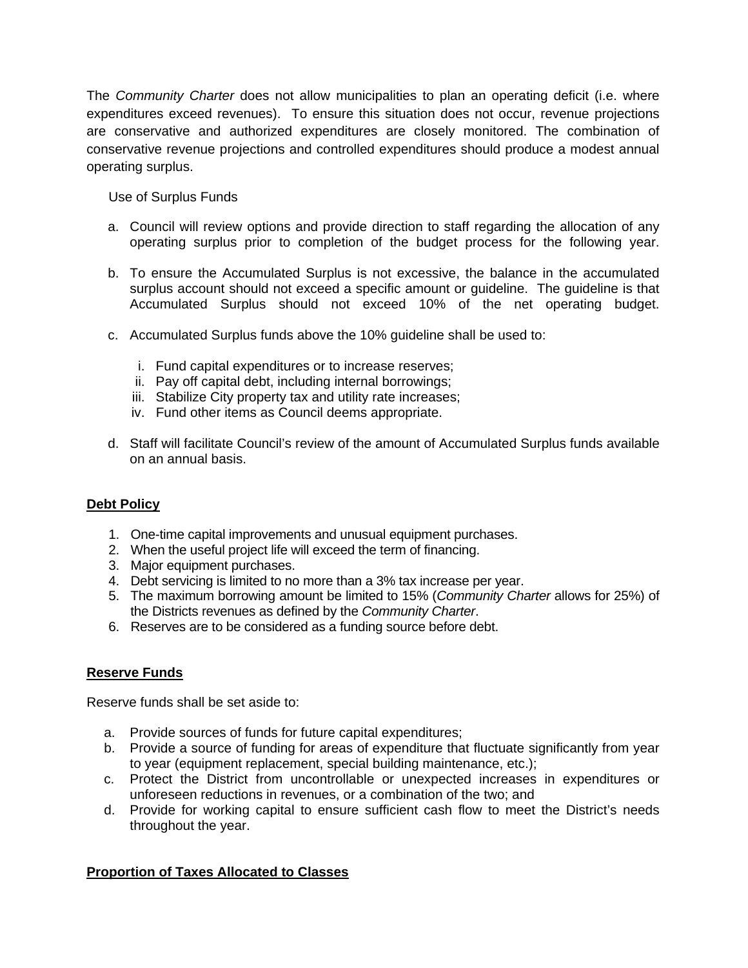The *Community Charter* does not allow municipalities to plan an operating deficit (i.e. where expenditures exceed revenues). To ensure this situation does not occur, revenue projections are conservative and authorized expenditures are closely monitored. The combination of conservative revenue projections and controlled expenditures should produce a modest annual operating surplus.

Use of Surplus Funds

- a. Council will review options and provide direction to staff regarding the allocation of any operating surplus prior to completion of the budget process for the following year.
- b. To ensure the Accumulated Surplus is not excessive, the balance in the accumulated surplus account should not exceed a specific amount or guideline. The guideline is that Accumulated Surplus should not exceed 10% of the net operating budget.
- c. Accumulated Surplus funds above the 10% guideline shall be used to:
	- i. Fund capital expenditures or to increase reserves;
	- ii. Pay off capital debt, including internal borrowings;
	- iii. Stabilize City property tax and utility rate increases;
	- iv. Fund other items as Council deems appropriate.
- d. Staff will facilitate Council's review of the amount of Accumulated Surplus funds available on an annual basis.

# **Debt Policy**

- 1. One-time capital improvements and unusual equipment purchases.
- 2. When the useful project life will exceed the term of financing.
- 3. Major equipment purchases.
- 4. Debt servicing is limited to no more than a 3% tax increase per year.
- 5. The maximum borrowing amount be limited to 15% (*Community Charter* allows for 25%) of the Districts revenues as defined by the *Community Charter*.
- 6. Reserves are to be considered as a funding source before debt.

# **Reserve Funds**

Reserve funds shall be set aside to:

- a. Provide sources of funds for future capital expenditures;
- b. Provide a source of funding for areas of expenditure that fluctuate significantly from year to year (equipment replacement, special building maintenance, etc.);
- c. Protect the District from uncontrollable or unexpected increases in expenditures or unforeseen reductions in revenues, or a combination of the two; and
- d. Provide for working capital to ensure sufficient cash flow to meet the District's needs throughout the year.

# **Proportion of Taxes Allocated to Classes**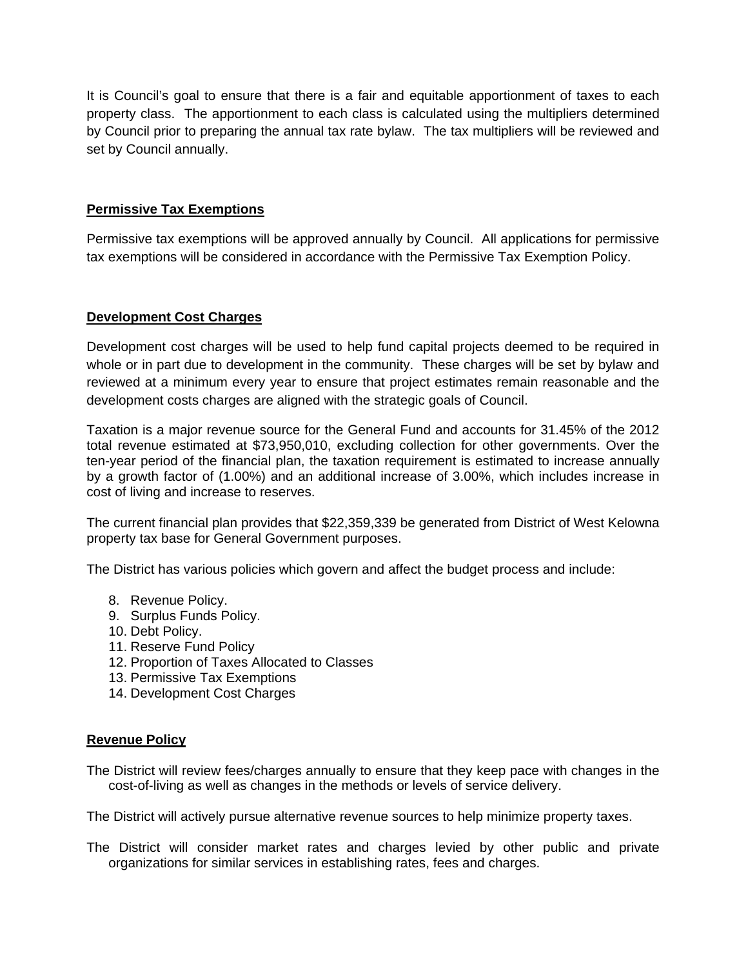It is Council's goal to ensure that there is a fair and equitable apportionment of taxes to each property class. The apportionment to each class is calculated using the multipliers determined by Council prior to preparing the annual tax rate bylaw. The tax multipliers will be reviewed and set by Council annually.

# **Permissive Tax Exemptions**

Permissive tax exemptions will be approved annually by Council. All applications for permissive tax exemptions will be considered in accordance with the Permissive Tax Exemption Policy.

## **Development Cost Charges**

Development cost charges will be used to help fund capital projects deemed to be required in whole or in part due to development in the community. These charges will be set by bylaw and reviewed at a minimum every year to ensure that project estimates remain reasonable and the development costs charges are aligned with the strategic goals of Council.

Taxation is a major revenue source for the General Fund and accounts for 31.45% of the 2012 total revenue estimated at \$73,950,010, excluding collection for other governments. Over the ten-year period of the financial plan, the taxation requirement is estimated to increase annually by a growth factor of (1.00%) and an additional increase of 3.00%, which includes increase in cost of living and increase to reserves.

The current financial plan provides that \$22,359,339 be generated from District of West Kelowna property tax base for General Government purposes.

The District has various policies which govern and affect the budget process and include:

- 8. Revenue Policy.
- 9. Surplus Funds Policy.
- 10. Debt Policy.
- 11. Reserve Fund Policy
- 12. Proportion of Taxes Allocated to Classes
- 13. Permissive Tax Exemptions
- 14. Development Cost Charges

### **Revenue Policy**

The District will review fees/charges annually to ensure that they keep pace with changes in the cost-of-living as well as changes in the methods or levels of service delivery.

The District will actively pursue alternative revenue sources to help minimize property taxes.

The District will consider market rates and charges levied by other public and private organizations for similar services in establishing rates, fees and charges.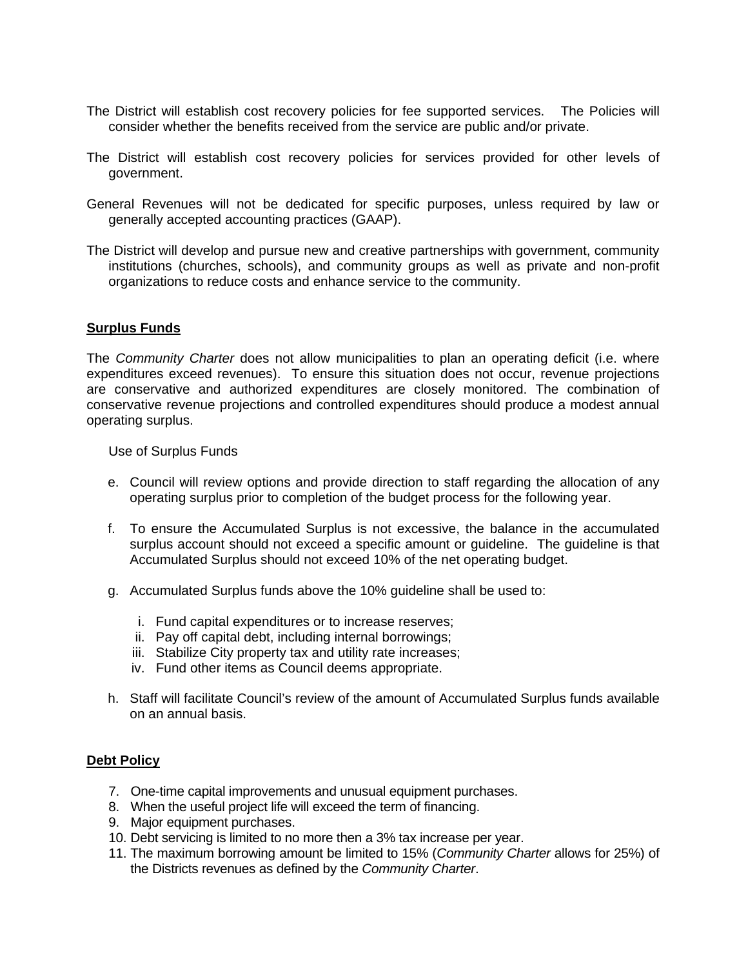- The District will establish cost recovery policies for fee supported services. The Policies will consider whether the benefits received from the service are public and/or private.
- The District will establish cost recovery policies for services provided for other levels of government.
- General Revenues will not be dedicated for specific purposes, unless required by law or generally accepted accounting practices (GAAP).
- The District will develop and pursue new and creative partnerships with government, community institutions (churches, schools), and community groups as well as private and non-profit organizations to reduce costs and enhance service to the community.

### **Surplus Funds**

The *Community Charter* does not allow municipalities to plan an operating deficit (i.e. where expenditures exceed revenues). To ensure this situation does not occur, revenue projections are conservative and authorized expenditures are closely monitored. The combination of conservative revenue projections and controlled expenditures should produce a modest annual operating surplus.

Use of Surplus Funds

- e. Council will review options and provide direction to staff regarding the allocation of any operating surplus prior to completion of the budget process for the following year.
- f. To ensure the Accumulated Surplus is not excessive, the balance in the accumulated surplus account should not exceed a specific amount or guideline. The guideline is that Accumulated Surplus should not exceed 10% of the net operating budget.
- g. Accumulated Surplus funds above the 10% guideline shall be used to:
	- i. Fund capital expenditures or to increase reserves;
	- ii. Pay off capital debt, including internal borrowings;
	- iii. Stabilize City property tax and utility rate increases;
	- iv. Fund other items as Council deems appropriate.
- h. Staff will facilitate Council's review of the amount of Accumulated Surplus funds available on an annual basis.

### **Debt Policy**

- 7. One-time capital improvements and unusual equipment purchases.
- 8. When the useful project life will exceed the term of financing.
- 9. Major equipment purchases.
- 10. Debt servicing is limited to no more then a 3% tax increase per year.
- 11. The maximum borrowing amount be limited to 15% (*Community Charter* allows for 25%) of the Districts revenues as defined by the *Community Charter*.